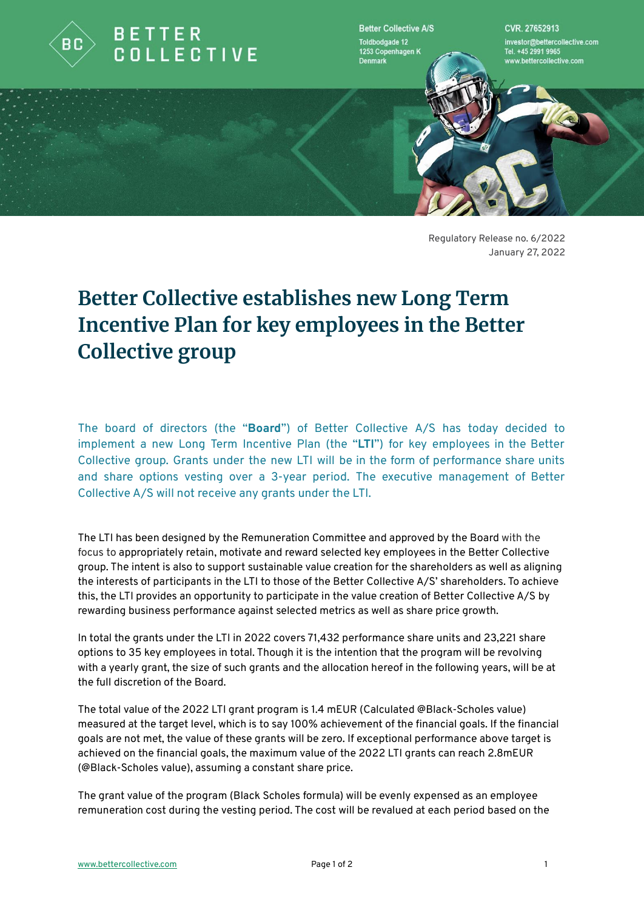

**Better Collective A/S** Toldbodgade 12 1253 Copenhagen K **Denmark** 

CVR 27652913 nvestor@bettercollective.com Tel. +45 2991 9965 ww.bettercollective.com

Regulatory Release no. 6/2022 January 27, 2022

## **Better Collective establishes new Long Term Incentive Plan for key employees in the Better Collective group**

The board of directors (the "**Board**") of Better Collective A/S has today decided to implement a new Long Term Incentive Plan (the "**LTI**") for key employees in the Better Collective group. Grants under the new LTI will be in the form of performance share units and share options vesting over a 3-year period. The executive management of Better Collective A/S will not receive any grants under the LTI.

The LTI has been designed by the Remuneration Committee and approved by the Board with the focus to appropriately retain, motivate and reward selected key employees in the Better Collective group. The intent is also to support sustainable value creation for the shareholders as well as aligning the interests of participants in the LTI to those of the Better Collective A/S' shareholders. To achieve this, the LTI provides an opportunity to participate in the value creation of Better Collective A/S by rewarding business performance against selected metrics as well as share price growth.

In total the grants under the LTI in 2022 covers 71,432 performance share units and 23,221 share options to 35 key employees in total. Though it is the intention that the program will be revolving with a yearly grant, the size of such grants and the allocation hereof in the following years, will be at the full discretion of the Board.

The total value of the 2022 LTI grant program is 1.4 mEUR (Calculated @Black-Scholes value) measured at the target level, which is to say 100% achievement of the financial goals. If the financial goals are not met, the value of these grants will be zero. If exceptional performance above target is achieved on the financial goals, the maximum value of the 2022 LTI grants can reach 2.8mEUR (@Black-Scholes value), assuming a constant share price.

The grant value of the program (Black Scholes formula) will be evenly expensed as an employee remuneration cost during the vesting period. The cost will be revalued at each period based on the